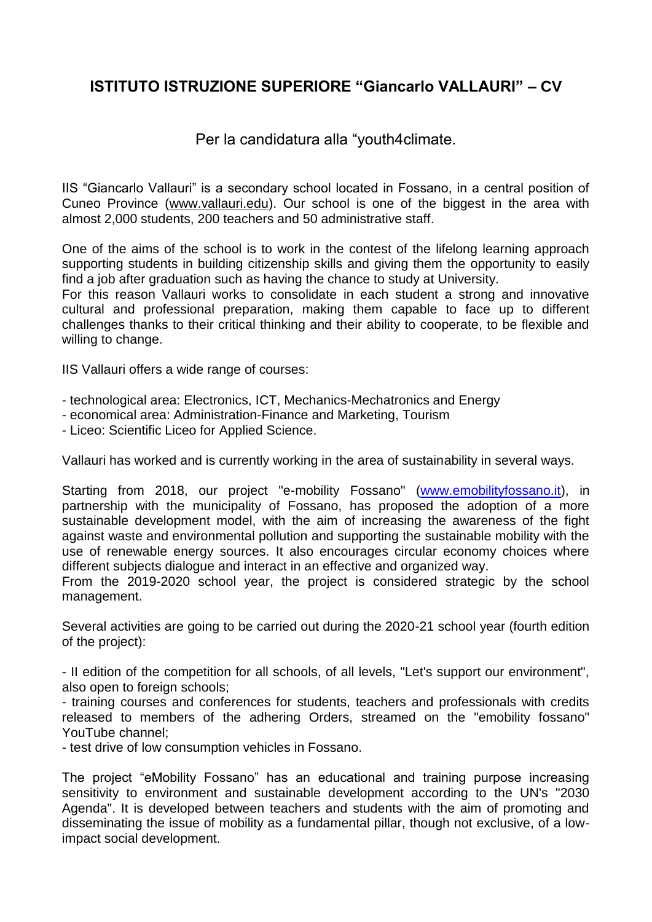## **ISTITUTO ISTRUZIONE SUPERIORE "Giancarlo VALLAURI" – CV**

## Per la candidatura alla "youth4climate.

IIS "Giancarlo Vallauri" is a secondary school located in Fossano, in a central position of Cuneo Province [\(www.vallauri.edu\)](http://www.vallauri.edu/). Our school is one of the biggest in the area with almost 2,000 students, 200 teachers and 50 administrative staff.

One of the aims of the school is to work in the contest of the lifelong learning approach supporting students in building citizenship skills and giving them the opportunity to easily find a job after graduation such as having the chance to study at University.

For this reason Vallauri works to consolidate in each student a strong and innovative cultural and professional preparation, making them capable to face up to different challenges thanks to their critical thinking and their ability to cooperate, to be flexible and willing to change.

IIS Vallauri offers a wide range of courses:

- technological area: Electronics, ICT, Mechanics-Mechatronics and Energy
- economical area: Administration-Finance and Marketing, Tourism
- Liceo: Scientific Liceo for Applied Science.

Vallauri has worked and is currently working in the area of sustainability in several ways.

Starting from 2018, our project "e-mobility Fossano" [\(www.emobilityfossano.it\)](http://www.emobilityfossano.it/), in partnership with the municipality of Fossano, has proposed the adoption of a more sustainable development model, with the aim of increasing the awareness of the fight against waste and environmental pollution and supporting the sustainable mobility with the use of renewable energy sources. It also encourages circular economy choices where different subjects dialogue and interact in an effective and organized way.

From the 2019-2020 school year, the project is considered strategic by the school management.

Several activities are going to be carried out during the 2020-21 school year (fourth edition of the project):

- II edition of the competition for all schools, of all levels, "Let's support our environment", also open to foreign schools;

- training courses and conferences for students, teachers and professionals with credits released to members of the adhering Orders, streamed on the "emobility fossano" YouTube channel;

- test drive of low consumption vehicles in Fossano.

The project "eMobility Fossano" has an educational and training purpose increasing sensitivity to environment and sustainable development according to the UN's "2030 Agenda". It is developed between teachers and students with the aim of promoting and disseminating the issue of mobility as a fundamental pillar, though not exclusive, of a lowimpact social development.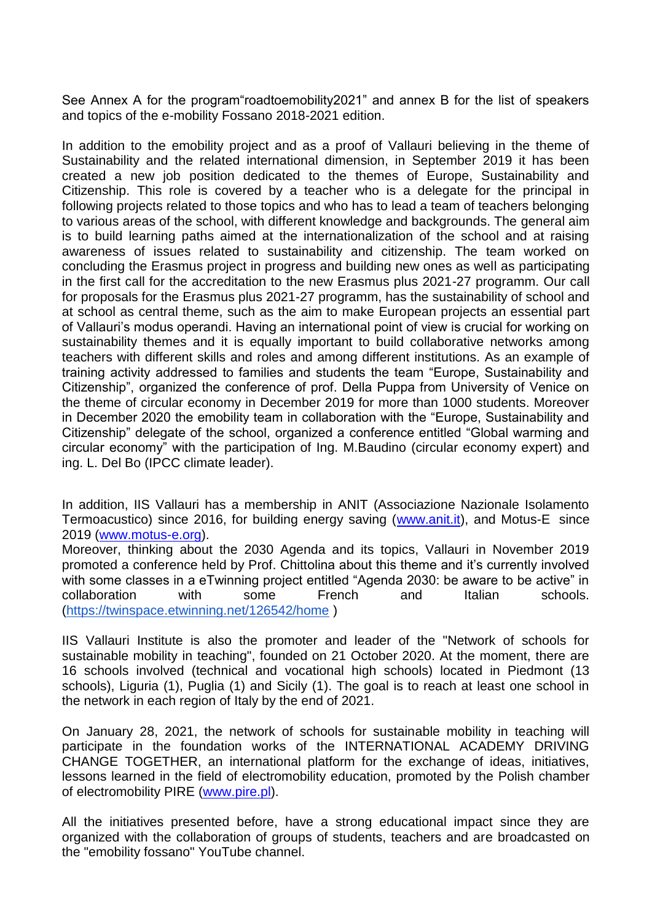See Annex A for the program"roadtoemobility2021" and annex B for the list of speakers and topics of the e-mobility Fossano 2018-2021 edition.

In addition to the emobility project and as a proof of Vallauri believing in the theme of Sustainability and the related international dimension, in September 2019 it has been created a new job position dedicated to the themes of Europe, Sustainability and Citizenship. This role is covered by a teacher who is a delegate for the principal in following projects related to those topics and who has to lead a team of teachers belonging to various areas of the school, with different knowledge and backgrounds. The general aim is to build learning paths aimed at the internationalization of the school and at raising awareness of issues related to sustainability and citizenship. The team worked on concluding the Erasmus project in progress and building new ones as well as participating in the first call for the accreditation to the new Erasmus plus 2021-27 programm. Our call for proposals for the Erasmus plus 2021-27 programm, has the sustainability of school and at school as central theme, such as the aim to make European projects an essential part of Vallauri's modus operandi. Having an international point of view is crucial for working on sustainability themes and it is equally important to build collaborative networks among teachers with different skills and roles and among different institutions. As an example of training activity addressed to families and students the team "Europe, Sustainability and Citizenship", organized the conference of prof. Della Puppa from University of Venice on the theme of circular economy in December 2019 for more than 1000 students. Moreover in December 2020 the emobility team in collaboration with the "Europe, Sustainability and Citizenship" delegate of the school, organized a conference entitled "Global warming and circular economy" with the participation of Ing. M.Baudino (circular economy expert) and ing. L. Del Bo (IPCC climate leader).

In addition, IIS Vallauri has a membership in ANIT (Associazione Nazionale Isolamento Termoacustico) since 2016, for building energy saving [\(www.anit.it\)](http://www.anit.it/), and Motus-E since 2019 [\(www.motus-e.org\)](http://www.motus-e.org/).

Moreover, thinking about the 2030 Agenda and its topics, Vallauri in November 2019 promoted a conference held by Prof. Chittolina about this theme and it's currently involved with some classes in a eTwinning project entitled "Agenda 2030: be aware to be active" in collaboration with some French and Italian schools. [\(https://twinspace.etwinning.net/126542/home](https://twinspace.etwinning.net/126542/home) )

IIS Vallauri Institute is also the promoter and leader of the "Network of schools for sustainable mobility in teaching", founded on 21 October 2020. At the moment, there are 16 schools involved (technical and vocational high schools) located in Piedmont (13 schools), Liguria (1), Puglia (1) and Sicily (1). The goal is to reach at least one school in the network in each region of Italy by the end of 2021.

On January 28, 2021, the network of schools for sustainable mobility in teaching will participate in the foundation works of the INTERNATIONAL ACADEMY DRIVING CHANGE TOGETHER, an international platform for the exchange of ideas, initiatives, lessons learned in the field of electromobility education, promoted by the Polish chamber of electromobility PIRE [\(www.pire.pl\)](http://www.pire.pl/).

All the initiatives presented before, have a strong educational impact since they are organized with the collaboration of groups of students, teachers and are broadcasted on the "emobility fossano" YouTube channel.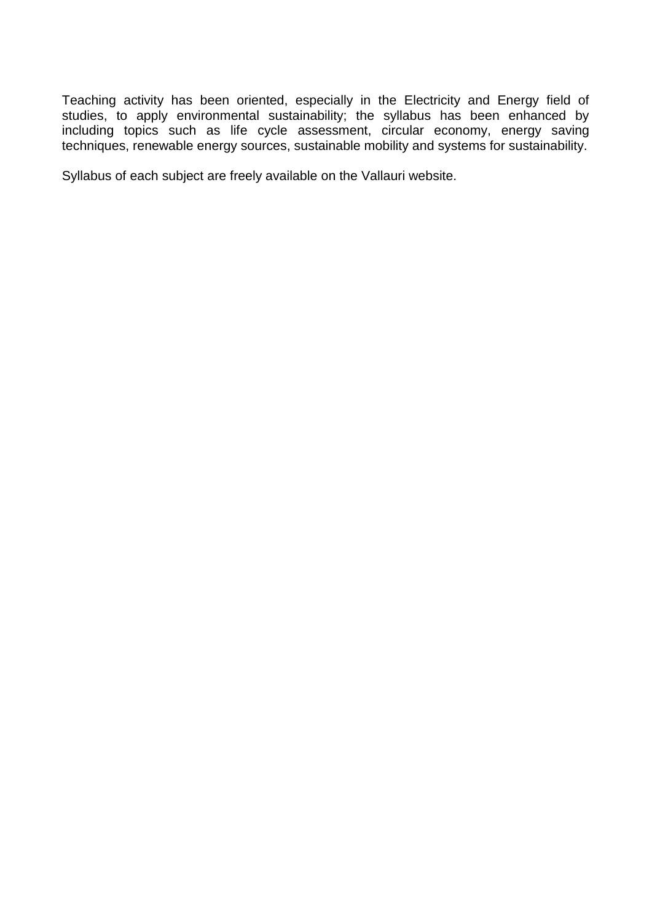Teaching activity has been oriented, especially in the Electricity and Energy field of studies, to apply environmental sustainability; the syllabus has been enhanced by including topics such as life cycle assessment, circular economy, energy saving techniques, renewable energy sources, sustainable mobility and systems for sustainability.

Syllabus of each subject are freely available on the Vallauri website.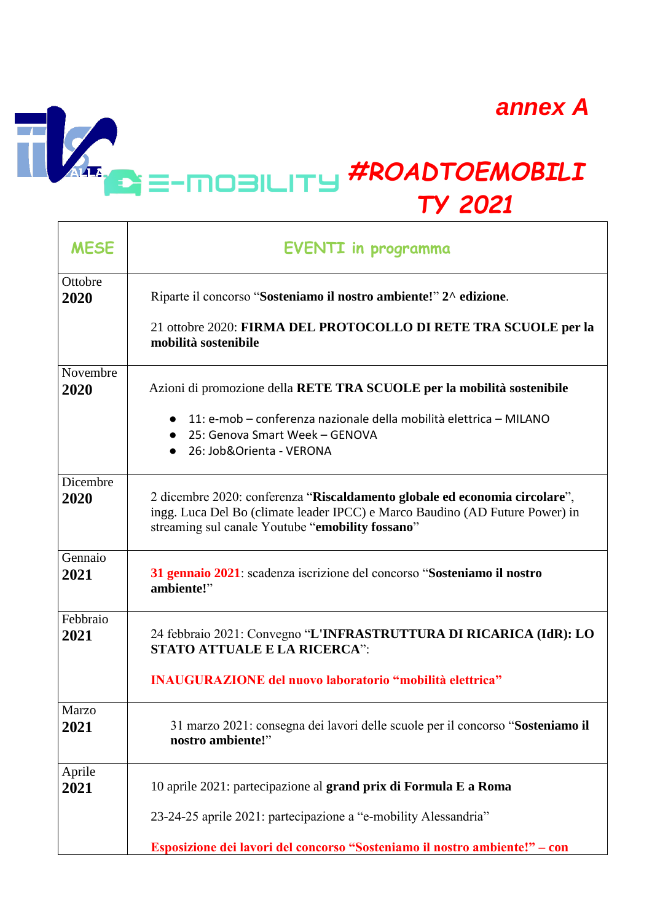*annex A*

 $\overline{\phantom{0}}$ 

## *#ROADTOEMOBILI* ALLA. *TY 2021* Τ

 $\frac{1}{\sqrt{2}}$ 

**Contract Contract Contract** 

| <b>MESE</b>      | <b>EVENTI</b> in programma                                                                                                                                                                                                           |  |  |  |  |  |
|------------------|--------------------------------------------------------------------------------------------------------------------------------------------------------------------------------------------------------------------------------------|--|--|--|--|--|
| Ottobre<br>2020  | Riparte il concorso "Sosteniamo il nostro ambiente!" 2^ edizione.<br>21 ottobre 2020: FIRMA DEL PROTOCOLLO DI RETE TRA SCUOLE per la<br>mobilità sostenibile                                                                         |  |  |  |  |  |
| Novembre<br>2020 | Azioni di promozione della RETE TRA SCUOLE per la mobilità sostenibile<br>11: e-mob – conferenza nazionale della mobilità elettrica – MILANO<br>$\bullet$<br>25: Genova Smart Week - GENOVA<br>$\bullet$<br>26: Job&Orienta - VERONA |  |  |  |  |  |
| Dicembre<br>2020 | 2 dicembre 2020: conferenza "Riscaldamento globale ed economia circolare",<br>ingg. Luca Del Bo (climate leader IPCC) e Marco Baudino (AD Future Power) in<br>streaming sul canale Youtube "emobility fossano"                       |  |  |  |  |  |
| Gennaio<br>2021  | 31 gennaio 2021: scadenza iscrizione del concorso "Sosteniamo il nostro<br>ambiente!"                                                                                                                                                |  |  |  |  |  |
| Febbraio<br>2021 | 24 febbraio 2021: Convegno "L'INFRASTRUTTURA DI RICARICA (IdR): LO<br><b>STATO ATTUALE E LA RICERCA":</b><br><b>INAUGURAZIONE del nuovo laboratorio "mobilità elettrica"</b>                                                         |  |  |  |  |  |
| Marzo<br>2021    | 31 marzo 2021: consegna dei lavori delle scuole per il concorso "Sosteniamo il<br>nostro ambiente!"                                                                                                                                  |  |  |  |  |  |
| Aprile<br>2021   | 10 aprile 2021: partecipazione al grand prix di Formula E a Roma<br>23-24-25 aprile 2021: partecipazione a "e-mobility Alessandria"<br>Esposizione dei lavori del concorso "Sosteniamo il nostro ambiente!" – con                    |  |  |  |  |  |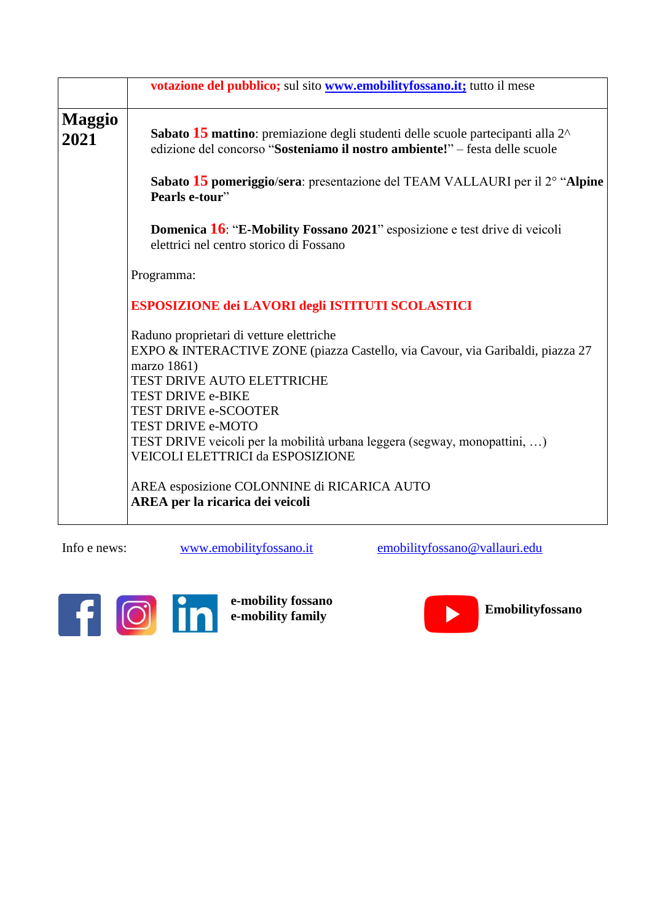|                       | votazione del pubblico; sul sito www.emobilityfossano.it; tutto il mese                                                                                                                                                                                                                                                                                           |  |  |  |  |  |
|-----------------------|-------------------------------------------------------------------------------------------------------------------------------------------------------------------------------------------------------------------------------------------------------------------------------------------------------------------------------------------------------------------|--|--|--|--|--|
| <b>Maggio</b><br>2021 | Sabato 15 mattino: premiazione degli studenti delle scuole partecipanti alla 2 <sup>^</sup><br>edizione del concorso "Sosteniamo il nostro ambiente!" - festa delle scuole                                                                                                                                                                                        |  |  |  |  |  |
|                       | Sabato 15 pomeriggio/sera: presentazione del TEAM VALLAURI per il $2^{\circ}$ "Alpine"<br>Pearls e-tour"                                                                                                                                                                                                                                                          |  |  |  |  |  |
|                       | <b>Domenica 16: "E-Mobility Fossano 2021"</b> esposizione e test drive di veicoli<br>elettrici nel centro storico di Fossano                                                                                                                                                                                                                                      |  |  |  |  |  |
|                       | Programma:                                                                                                                                                                                                                                                                                                                                                        |  |  |  |  |  |
|                       | ESPOSIZIONE dei LAVORI degli ISTITUTI SCOLASTICI                                                                                                                                                                                                                                                                                                                  |  |  |  |  |  |
|                       | Raduno proprietari di vetture elettriche<br>EXPO & INTERACTIVE ZONE (piazza Castello, via Cavour, via Garibaldi, piazza 27<br>marzo 1861)<br>TEST DRIVE AUTO ELETTRICHE<br>TEST DRIVE e-BIKE<br><b>TEST DRIVE e-SCOOTER</b><br>TEST DRIVE e-MOTO<br>TEST DRIVE veicoli per la mobilità urbana leggera (segway, monopattini, )<br>VEICOLI ELETTRICI da ESPOSIZIONE |  |  |  |  |  |
|                       | AREA esposizione COLONNINE di RICARICA AUTO<br>AREA per la ricarica dei veicoli                                                                                                                                                                                                                                                                                   |  |  |  |  |  |

Info e news: [www.emobilityfossano.it](http://www.emobilityfossano.it/) [emobilityfossano@vallauri.edu](mailto:emobilityfossano@vallauri.edu)



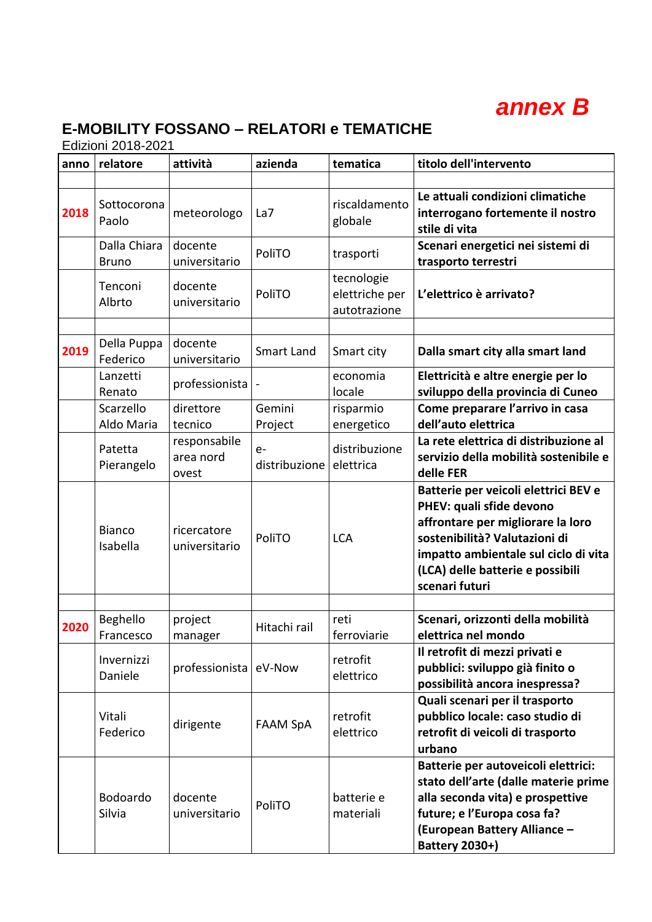

## **E-MOBILITY FOSSANO – RELATORI e TEMATICHE**

Edizioni 2018-2021

| anno | relatore                     | attività                           | azienda               | tematica                                     | titolo dell'intervento                                                                                                                                                                                                               |
|------|------------------------------|------------------------------------|-----------------------|----------------------------------------------|--------------------------------------------------------------------------------------------------------------------------------------------------------------------------------------------------------------------------------------|
|      |                              |                                    |                       |                                              |                                                                                                                                                                                                                                      |
| 2018 | Sottocorona<br>Paolo         | meteorologo                        | La7                   | riscaldamento<br>globale                     | Le attuali condizioni climatiche<br>interrogano fortemente il nostro<br>stile di vita                                                                                                                                                |
|      | Dalla Chiara<br><b>Bruno</b> | docente<br>universitario           | PoliTO                | trasporti                                    | Scenari energetici nei sistemi di<br>trasporto terrestri                                                                                                                                                                             |
|      | Tenconi<br>Albrto            | docente<br>universitario           | PoliTO                | tecnologie<br>elettriche per<br>autotrazione | L'elettrico è arrivato?                                                                                                                                                                                                              |
|      |                              |                                    |                       |                                              |                                                                                                                                                                                                                                      |
| 2019 | Della Puppa<br>Federico      | docente<br>universitario           | Smart Land            | Smart city                                   | Dalla smart city alla smart land                                                                                                                                                                                                     |
|      | Lanzetti<br>Renato           | professionista                     |                       | economia<br>locale                           | Elettricità e altre energie per lo<br>sviluppo della provincia di Cuneo                                                                                                                                                              |
|      | Scarzello<br>Aldo Maria      | direttore<br>tecnico               | Gemini<br>Project     | risparmio<br>energetico                      | Come preparare l'arrivo in casa<br>dell'auto elettrica                                                                                                                                                                               |
|      | Patetta<br>Pierangelo        | responsabile<br>area nord<br>ovest | $e-$<br>distribuzione | distribuzione<br>elettrica                   | La rete elettrica di distribuzione al<br>servizio della mobilità sostenibile e<br>delle FER                                                                                                                                          |
|      | <b>Bianco</b><br>Isabella    | ricercatore<br>universitario       | PoliTO                | <b>LCA</b>                                   | Batterie per veicoli elettrici BEV e<br>PHEV: quali sfide devono<br>affrontare per migliorare la loro<br>sostenibilità? Valutazioni di<br>impatto ambientale sul ciclo di vita<br>(LCA) delle batterie e possibili<br>scenari futuri |
|      |                              |                                    |                       |                                              |                                                                                                                                                                                                                                      |
| 2020 | Beghello<br>Francesco        | project<br>manager                 | Hitachi rail          | reti<br>ferroviarie                          | Scenari, orizzonti della mobilità<br>elettrica nel mondo                                                                                                                                                                             |
|      | Invernizzi<br>Daniele        | professionista                     | eV-Now                | retrofit<br>elettrico                        | Il retrofit di mezzi privati e<br>pubblici: sviluppo già finito o<br>possibilità ancora inespressa?                                                                                                                                  |
|      | Vitali<br>Federico           | dirigente                          | <b>FAAM SpA</b>       | retrofit<br>elettrico                        | Quali scenari per il trasporto<br>pubblico locale: caso studio di<br>retrofit di veicoli di trasporto<br>urbano                                                                                                                      |
|      | Bodoardo<br>Silvia           | docente<br>universitario           | PoliTO                | batterie e<br>materiali                      | Batterie per autoveicoli elettrici:<br>stato dell'arte (dalle materie prime<br>alla seconda vita) e prospettive<br>future; e l'Europa cosa fa?<br>(European Battery Alliance -<br><b>Battery 2030+)</b>                              |